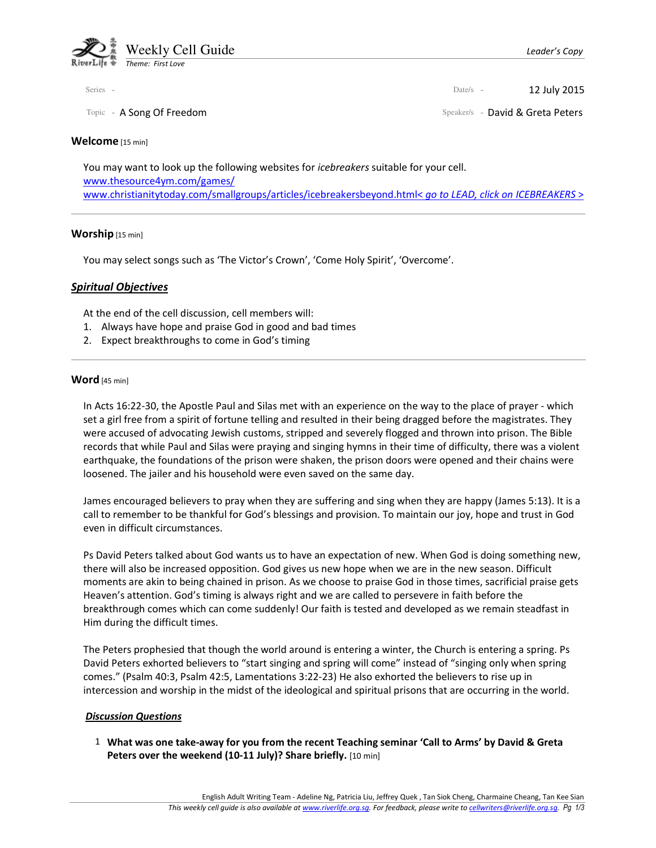

#### Welcome [15 min]

You may want to look up the following websites for icebreakers suitable for your cell. www.thesource4ym.com/games/ www.christianitytoday.com/smallgroups/articles/icebreakersbeyond.html< go to LEAD, click on ICEBREAKERS >

#### Worship [15 min]

You may select songs such as 'The Victor's Crown', 'Come Holy Spirit', 'Overcome'.

### Spiritual Objectives

At the end of the cell discussion, cell members will:

- 1. Always have hope and praise God in good and bad times
- 2. Expect breakthroughs to come in God's timing

### Word [45 min]

In Acts 16:22-30, the Apostle Paul and Silas met with an experience on the way to the place of prayer - which set a girl free from a spirit of fortune telling and resulted in their being dragged before the magistrates. They were accused of advocating Jewish customs, stripped and severely flogged and thrown into prison. The Bible records that while Paul and Silas were praying and singing hymns in their time of difficulty, there was a violent earthquake, the foundations of the prison were shaken, the prison doors were opened and their chains were loosened. The jailer and his household were even saved on the same day.

James encouraged believers to pray when they are suffering and sing when they are happy (James 5:13). It is a call to remember to be thankful for God's blessings and provision. To maintain our joy, hope and trust in God even in difficult circumstances.

Ps David Peters talked about God wants us to have an expectation of new. When God is doing something new, there will also be increased opposition. God gives us new hope when we are in the new season. Difficult moments are akin to being chained in prison. As we choose to praise God in those times, sacrificial praise gets Heaven's attention. God's timing is always right and we are called to persevere in faith before the breakthrough comes which can come suddenly! Our faith is tested and developed as we remain steadfast in Him during the difficult times.

The Peters prophesied that though the world around is entering a winter, the Church is entering a spring. Ps David Peters exhorted believers to "start singing and spring will come" instead of "singing only when spring comes." (Psalm 40:3, Psalm 42:5, Lamentations 3:22-23) He also exhorted the believers to rise up in intercession and worship in the midst of the ideological and spiritual prisons that are occurring in the world.

### Discussion Questions

 1 What was one take-away for you from the recent Teaching seminar 'Call to Arms' by David & Greta Peters over the weekend (10-11 July)? Share briefly. [10 min]

Series - **12 July 2015** 

Topic - A Song Of Freedom Speaker/s - David & Greta Peters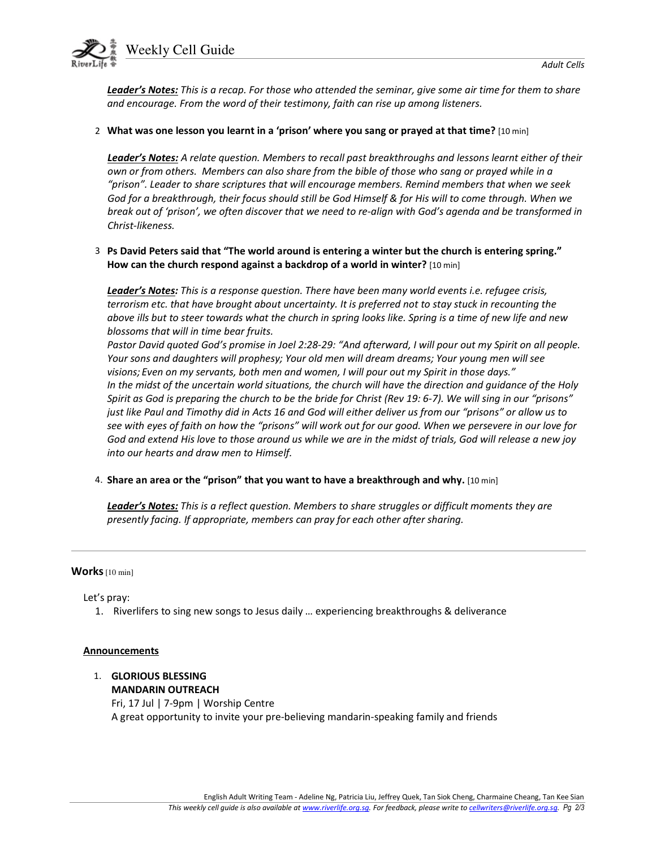Weekly Cell Guide

Leader's Notes: This is a recap. For those who attended the seminar, give some air time for them to share and encourage. From the word of their testimony, faith can rise up among listeners.

### 2 What was one lesson you learnt in a 'prison' where you sang or prayed at that time? [10 min]

Leader's Notes: A relate question. Members to recall past breakthroughs and lessons learnt either of their own or from others. Members can also share from the bible of those who sang or prayed while in a "prison". Leader to share scriptures that will encourage members. Remind members that when we seek God for a breakthrough, their focus should still be God Himself & for His will to come through. When we break out of 'prison', we often discover that we need to re-align with God's agenda and be transformed in Christ-likeness.

## 3 Ps David Peters said that "The world around is entering a winter but the church is entering spring." How can the church respond against a backdrop of a world in winter? [10 min]

Leader's Notes: This is a response question. There have been many world events i.e. refugee crisis, terrorism etc. that have brought about uncertainty. It is preferred not to stay stuck in recounting the above ills but to steer towards what the church in spring looks like. Spring is a time of new life and new blossoms that will in time bear fruits.

Pastor David quoted God's promise in Joel 2:28-29: "And afterward, I will pour out my Spirit on all people. Your sons and daughters will prophesy; Your old men will dream dreams; Your young men will see visions; Even on my servants, both men and women, I will pour out my Spirit in those days." In the midst of the uncertain world situations, the church will have the direction and guidance of the Holy Spirit as God is preparing the church to be the bride for Christ (Rev 19: 6-7). We will sing in our "prisons" just like Paul and Timothy did in Acts 16 and God will either deliver us from our "prisons" or allow us to see with eyes of faith on how the "prisons" will work out for our good. When we persevere in our love for God and extend His love to those around us while we are in the midst of trials, God will release a new joy into our hearts and draw men to Himself.

4. Share an area or the "prison" that you want to have a breakthrough and why. [10 min]

Leader's Notes: This is a reflect question. Members to share struggles or difficult moments they are presently facing. If appropriate, members can pray for each other after sharing.

### Works [10 min]

Let's pray:

1. Riverlifers to sing new songs to Jesus daily … experiencing breakthroughs & deliverance

### **Announcements**

 1. GLORIOUS BLESSING MANDARIN OUTREACH Fri, 17 Jul | 7-9pm | Worship Centre A great opportunity to invite your pre-believing mandarin-speaking family and friends